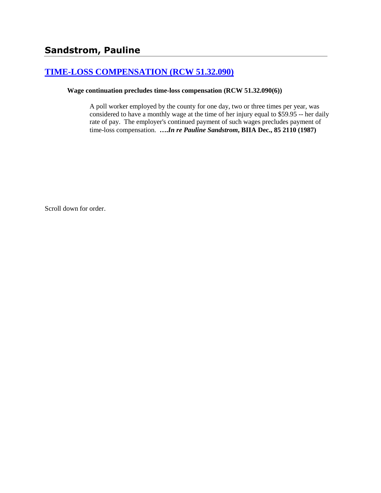# **[TIME-LOSS COMPENSATION \(RCW 51.32.090\)](http://www.biia.wa.gov/SDSubjectIndex.html#TIME_LOSS_COMPENSATION)**

## **Wage continuation precludes time-loss compensation (RCW 51.32.090(6))**

A poll worker employed by the county for one day, two or three times per year, was considered to have a monthly wage at the time of her injury equal to \$59.95 -- her daily rate of pay. The employer's continued payment of such wages precludes payment of time-loss compensation. **….***In re Pauline Sandstrom***, BIIA Dec., 85 2110 (1987)**

Scroll down for order.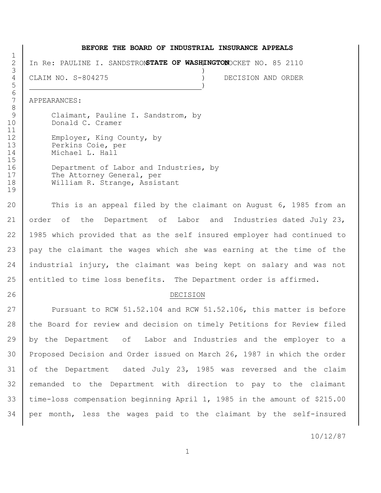#### **BEFORE THE BOARD OF INDUSTRIAL INSURANCE APPEALS**

2 | In Re: PAULINE I. SANDSTROMSTATE OF WASHINGTONOCKET NO. 85 2110

 $3 \left( \frac{1}{2} \right)$  CLAIM NO. S-804275 ) DECISION AND ORDER  $\overline{5}$  )

APPEARANCES:

6<br>7

9 | Claimant, Pauline I. Sandstrom, by Donald C. Cramer 12 Employer, King County, by Perkins Coie, per Michael L. Hall

16 Department of Labor and Industries, by 17 The Attorney General, per 18 | William R. Strange, Assistant

 This is an appeal filed by the claimant on August 6, 1985 from an order of the Department of Labor and Industries dated July 23, 1985 which provided that as the self insured employer had continued to pay the claimant the wages which she was earning at the time of the industrial injury, the claimant was being kept on salary and was not entitled to time loss benefits. The Department order is affirmed.

#### DECISION

27 Pursuant to RCW 51.52.104 and RCW 51.52.106, this matter is before 28 the Board for review and decision on timely Petitions for Review filed by the Department of Labor and Industries and the employer to a Proposed Decision and Order issued on March 26, 1987 in which the order of the Department dated July 23, 1985 was reversed and the claim 32 | remanded to the Department with direction to pay to the claimant time-loss compensation beginning April 1, 1985 in the amount of \$215.00 per month, less the wages paid to the claimant by the self-insured

10/12/87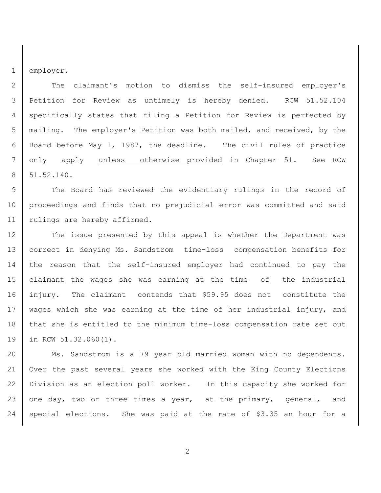employer.

2 The claimant's motion to dismiss the self-insured employer's Petition for Review as untimely is hereby denied. RCW 51.52.104 specifically states that filing a Petition for Review is perfected by mailing. The employer's Petition was both mailed, and received, by the Board before May 1, 1987, the deadline. The civil rules of practice only apply unless otherwise provided in Chapter 51. See RCW 51.52.140.

9 The Board has reviewed the evidentiary rulings in the record of 10 | proceedings and finds that no prejudicial error was committed and said 11 | rulings are hereby affirmed.

 The issue presented by this appeal is whether the Department was correct in denying Ms. Sandstrom time-loss compensation benefits for 14 the reason that the self-insured employer had continued to pay the claimant the wages she was earning at the time of the industrial injury. The claimant contends that \$59.95 does not constitute the 17 | wages which she was earning at the time of her industrial injury, and that she is entitled to the minimum time-loss compensation rate set out in RCW 51.32.060(1).

20 | Ms. Sandstrom is a 79 year old married woman with no dependents. Over the past several years she worked with the King County Elections Division as an election poll worker. In this capacity she worked for 23 one day, two or three times a year, at the primary, general, and special elections. She was paid at the rate of \$3.35 an hour for a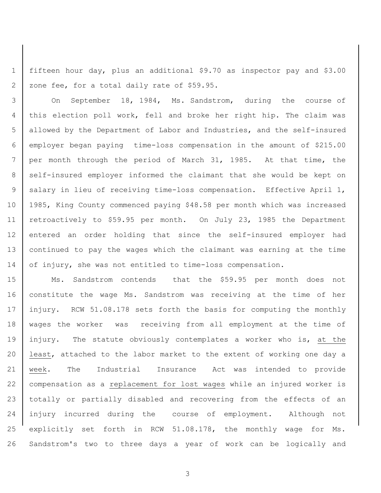fifteen hour day, plus an additional \$9.70 as inspector pay and \$3.00 2 | zone fee, for a total daily rate of \$59.95.

 On September 18, 1984, Ms. Sandstrom, during the course of this election poll work, fell and broke her right hip. The claim was allowed by the Department of Labor and Industries, and the self-insured employer began paying time-loss compensation in the amount of \$215.00 per month through the period of March 31, 1985. At that time, the 8 self-insured employer informed the claimant that she would be kept on 9 | salary in lieu of receiving time-loss compensation. Effective April 1, 1985, King County commenced paying \$48.58 per month which was increased retroactively to \$59.95 per month. On July 23, 1985 the Department 12 entered an order holding that since the self-insured employer had continued to pay the wages which the claimant was earning at the time 14 of injury, she was not entitled to time-loss compensation.

 Ms. Sandstrom contends that the \$59.95 per month does not 16 | constitute the wage Ms. Sandstrom was receiving at the time of her 17 | injury. RCW 51.08.178 sets forth the basis for computing the monthly wages the worker was receiving from all employment at the time of 19 injury. The statute obviously contemplates a worker who is, at the 20 | least, attached to the labor market to the extent of working one day a week. The Industrial Insurance Act was intended to provide compensation as a replacement for lost wages while an injured worker is totally or partially disabled and recovering from the effects of an injury incurred during the course of employment. Although not explicitly set forth in RCW 51.08.178, the monthly wage for Ms. Sandstrom's two to three days a year of work can be logically and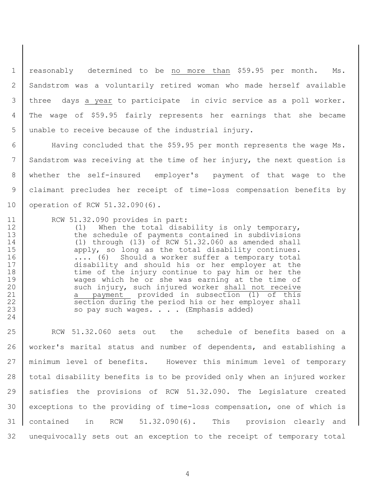reasonably determined to be no more than \$59.95 per month. Ms. Sandstrom was a voluntarily retired woman who made herself available three days a year to participate in civic service as a poll worker. The wage of \$59.95 fairly represents her earnings that she became unable to receive because of the industrial injury.

 Having concluded that the \$59.95 per month represents the wage Ms. Sandstrom was receiving at the time of her injury, the next question is whether the self-insured employer's payment of that wage to the claimant precludes her receipt of time-loss compensation benefits by 10 operation of RCW 51.32.090(6).

RCW 51.32.090 provides in part:

12 (1) When the total disability is only temporary, 13 the schedule of payments contained in subdivisions (1) through (13) of RCW 51.32.060 as amended shall 15 | apply, so long as the total disability continues. 16 .... (6) Should a worker suffer a temporary total disability and should his or her employer at the 18 time of the injury continue to pay him or her the wages which he or she was earning at the time of 20 such injury, such injured worker shall not receive 21 | a payment provided in subsection (1) of this 22 section during the period his or her employer shall 23 so pay such wages. . . . (Emphasis added)

 RCW 51.32.060 sets out the schedule of benefits based on a worker's marital status and number of dependents, and establishing a minimum level of benefits. However this minimum level of temporary total disability benefits is to be provided only when an injured worker satisfies the provisions of RCW 51.32.090. The Legislature created exceptions to the providing of time-loss compensation, one of which is contained in RCW 51.32.090(6). This provision clearly and unequivocally sets out an exception to the receipt of temporary total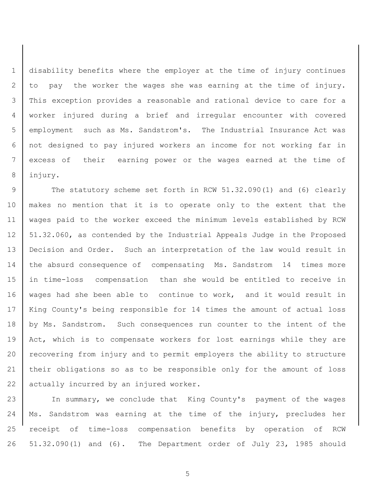disability benefits where the employer at the time of injury continues 2 to pay the worker the wages she was earning at the time of injury. This exception provides a reasonable and rational device to care for a worker injured during a brief and irregular encounter with covered employment such as Ms. Sandstrom's. The Industrial Insurance Act was not designed to pay injured workers an income for not working far in excess of their earning power or the wages earned at the time of 8 injury.

9 The statutory scheme set forth in RCW 51.32.090(1) and (6) clearly 10 makes no mention that it is to operate only to the extent that the 11 wages paid to the worker exceed the minimum levels established by RCW 12 | 51.32.060, as contended by the Industrial Appeals Judge in the Proposed 13 Decision and Order. Such an interpretation of the law would result in 14 the absurd consequence of compensating Ms. Sandstrom 14 times more 15 in time-loss compensation than she would be entitled to receive in 16 | wages had she been able to continue to work, and it would result in 17 | King County's being responsible for 14 times the amount of actual loss 18 | by Ms. Sandstrom. Such consequences run counter to the intent of the 19 | Act, which is to compensate workers for lost earnings while they are 20 recovering from injury and to permit employers the ability to structure 21 their obligations so as to be responsible only for the amount of loss 22 actually incurred by an injured worker.

23 | In summary, we conclude that King County's payment of the wages 24 | Ms. Sandstrom was earning at the time of the injury, precludes her 25 receipt of time-loss compensation benefits by operation of RCW 26 51.32.090(1) and (6). The Department order of July 23, 1985 should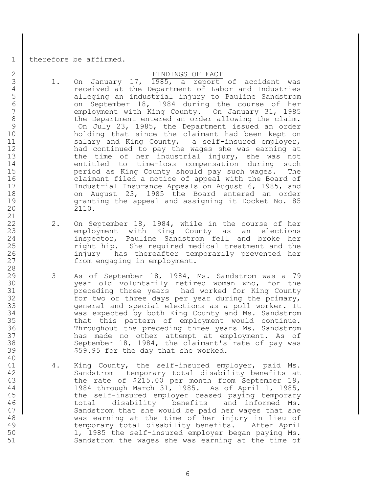1 | therefore be affirmed.

### 2 | FINDINGS OF FACT

- 3 1. On January 17, 1985, a report of accident was 4 received at the Department of Labor and Industries 5 | alleging an industrial injury to Pauline Sandstrom 6 on September 18, 1984 during the course of her<br>7 employment with King County. On January 31, 1985 employment with King County. On January 31, 1985 8 the Department entered an order allowing the claim. 9 On July 23, 1985, the Department issued an order 10 holding that since the claimant had been kept on 11 | Salary and King County, a self-insured employer, 12 | had continued to pay the wages she was earning at 13 the time of her industrial injury, she was not 14 entitled to time-loss compensation during such 15 | The period as King County should pay such wages. The 16 claimant filed a notice of appeal with the Board of 17 Industrial Insurance Appeals on August 6, 1985, and 18 | Content 23, 1985 the Board entered an order 19 granting the appeal and assigning it Docket No. 85 20 2110.
- 22 | 2. On September 18, 1984, while in the course of her 23 employment with King County as an elections 24 inspector, Pauline Sandstrom fell and broke her 25 | Tight hip. She required medical treatment and the 26 | The injury has thereafter temporarily prevented her 27 from engaging in employment.
- 29 3 As of September 18, 1984, Ms. Sandstrom was a 79 30 year old voluntarily retired woman who, for the 31 preceding three years had worked for King County 32 for two or three days per year during the primary, 33 general and special elections as a poll worker. It 34 was expected by both King County and Ms. Sandstrom 35 that this pattern of employment would continue. 36 Throughout the preceding three years Ms. Sandstrom 37 has made no other attempt at employment. As of 38 September 18, 1984, the claimant's rate of pay was 39 | \$59.95 for the day that she worked.
- 41 4. King County, the self-insured employer, paid Ms. 42 Sandstrom temporary total disability benefits at 43 the rate of \$215.00 per month from September 19, 44 1984 through March 31, 1985. As of April 1, 1985, 45 the self-insured employer ceased paying temporary 46 total disability benefits and informed Ms. 47 Sandstrom that she would be paid her wages that she 48 was earning at the time of her injury in lieu of 49 temporary total disability benefits. After April 50 1, 1985 the self-insured employer began paying Ms. 51 Sandstrom the wages she was earning at the time of